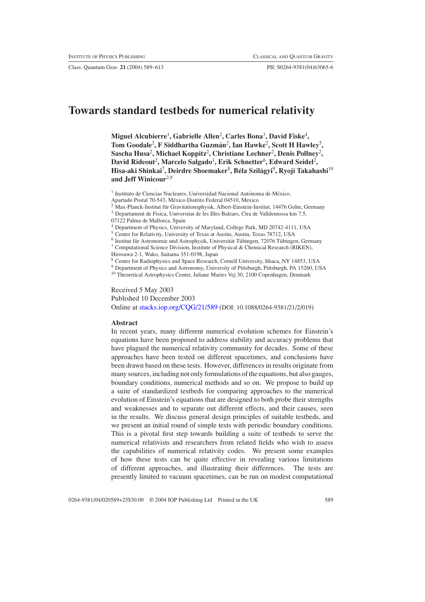Class. Quantum Grav. **21** (2004) 589–613 PII: S0264-9381(04)63065-6

# **Towards standard testbeds for numerical relativity**

**Miguel Alcubierre**<sup>1</sup> **, Gabrielle Allen**<sup>2</sup> **, Carles Bona**<sup>3</sup> **, David Fiske**<sup>4</sup> **,**  $\Gamma$ om Goodale<sup>2</sup>, F Siddhartha Guzmán<sup>2</sup>, Ian Hawke<sup>2</sup>, Scott H Hawley<sup>5</sup>, Sascha Husa<sup>2</sup>, Michael Koppitz<sup>2</sup>, Christiane Lechner<sup>2</sup>, Denis Pollney<sup>2</sup>, David Rideout<sup>2</sup>, Marcelo Salgado<sup>1</sup>, Erik Schnetter<sup>6</sup>, Edward Seidel<sup>2</sup>, **Hisa-aki Shinkai**<sup>7</sup> **, Deirdre Shoemaker**<sup>8</sup> **, Bela Szil ´ agyi ´** <sup>9</sup> **, Ryoji Takahashi**<sup>10</sup> **and Jeff Winicour**2,9

 $^1$  Instituto de Ciencias Nucleares, Universidad Nacional Autónoma de México,

- Apartado Postal 70-543, Mexico Distrito Federal 04510, Mexico ´
- <sup>2</sup> Max-Planck-Institut für Gravitationsphysik, Albert-Einstein-Institut, 14476 Golm, Germany
- <sup>3</sup> Departament de Fisica, Universitat de les Illes Balears, Ctra de Valldemossa km 7.5, 07122 Palma de Mallorca, Spain
- <sup>4</sup> Department of Physics, University of Maryland, College Park, MD 20742-4111, USA
- <sup>5</sup> Center for Relativity, University of Texas at Austin, Austin, Texas 78712, USA

 $6$  Institut für Astronomie und Astrophysik, Universität Tübingen, 72076 Tübingen, Germany

- <sup>7</sup> Computational Science Division, Institute of Physical & Chemical Research (RIKEN),
- Hirosawa 2-1, Wako, Saitama 351-0198, Japan

<sup>8</sup> Center for Radiophysics and Space Research, Cornell University, Ithaca, NY 14853, USA

<sup>9</sup> Department of Physics and Astronomy, University of Pittsburgh, Pittsburgh, PA 15260, USA <sup>10</sup> Theoretical Astrophysics Center, Juliane Maries Vej 30, 2100 Copenhagen, Denmark

Received 5 May 2003

Published 10 December 2003 Online at [stacks.iop.org/CQG/21/589](http://stacks.iop.org/cq/21/589) (DOI: 10.1088/0264-9381/21/2/019)

#### **Abstract**

In recent years, many different numerical evolution schemes for Einstein's equations have been proposed to address stability and accuracy problems that have plagued the numerical relativity community for decades. Some of these approaches have been tested on different spacetimes, and conclusions have been drawn based on these tests. However, differences in results originate from many sources, including not only formulations of the equations, but also gauges, boundary conditions, numerical methods and so on. We propose to build up a suite of standardized testbeds for comparing approaches to the numerical evolution of Einstein's equations that are designed to both probe their strengths and weaknesses and to separate out different effects, and their causes, seen in the results. We discuss general design principles of suitable testbeds, and we present an initial round of simple tests with periodic boundary conditions. This is a pivotal first step towards building a suite of testbeds to serve the numerical relativists and researchers from related fields who wish to assess the capabilities of numerical relativity codes. We present some examples of how these tests can be quite effective in revealing various limitations of different approaches, and illustrating their differences. The tests are presently limited to vacuum spacetimes, can be run on modest computational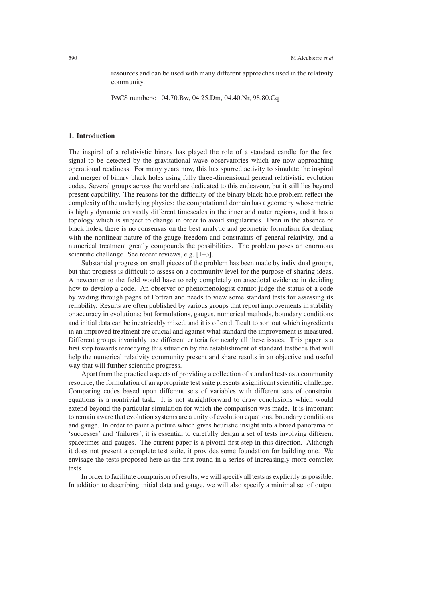resources and can be used with many different approaches used in the relativity community.

PACS numbers: 04.70.Bw, 04.25.Dm, 04.40.Nr, 98.80.Cq

#### **1. Introduction**

The inspiral of a relativistic binary has played the role of a standard candle for the first signal to be detected by the gravitational wave observatories which are now approaching operational readiness. For many years now, this has spurred activity to simulate the inspiral and merger of binary black holes using fully three-dimensional general relativistic evolution codes. Several groups across the world are dedicated to this endeavour, but it still lies beyond present capability. The reasons for the difficulty of the binary black-hole problem reflect the complexity of the underlying physics: the computational domain has a geometry whose metric is highly dynamic on vastly different timescales in the inner and outer regions, and it has a topology which is subject to change in order to avoid singularities. Even in the absence of black holes, there is no consensus on the best analytic and geometric formalism for dealing with the nonlinear nature of the gauge freedom and constraints of general relativity, and a numerical treatment greatly compounds the possibilities. The problem poses an enormous scientific challenge. See recent reviews, e.g. [1–3].

Substantial progress on small pieces of the problem has been made by individual groups, but that progress is difficult to assess on a community level for the purpose of sharing ideas. A newcomer to the field would have to rely completely on anecdotal evidence in deciding how to develop a code. An observer or phenomenologist cannot judge the status of a code by wading through pages of Fortran and needs to view some standard tests for assessing its reliability. Results are often published by various groups that report improvements in stability or accuracy in evolutions; but formulations, gauges, numerical methods, boundary conditions and initial data can be inextricably mixed, and it is often difficult to sort out which ingredients in an improved treatment are crucial and against what standard the improvement is measured. Different groups invariably use different criteria for nearly all these issues. This paper is a first step towards remedying this situation by the establishment of standard testbeds that will help the numerical relativity community present and share results in an objective and useful way that will further scientific progress.

Apart from the practical aspects of providing a collection of standard tests as a community resource, the formulation of an appropriate test suite presents a significant scientific challenge. Comparing codes based upon different sets of variables with different sets of constraint equations is a nontrivial task. It is not straightforward to draw conclusions which would extend beyond the particular simulation for which the comparison was made. It is important to remain aware that evolution systems are a unity of evolution equations, boundary conditions and gauge. In order to paint a picture which gives heuristic insight into a broad panorama of 'successes' and 'failures', it is essential to carefully design a set of tests involving different spacetimes and gauges. The current paper is a pivotal first step in this direction. Although it does not present a complete test suite, it provides some foundation for building one. We envisage the tests proposed here as the first round in a series of increasingly more complex tests.

In order to facilitate comparison of results, we will specify all tests as explicitly as possible. In addition to describing initial data and gauge, we will also specify a minimal set of output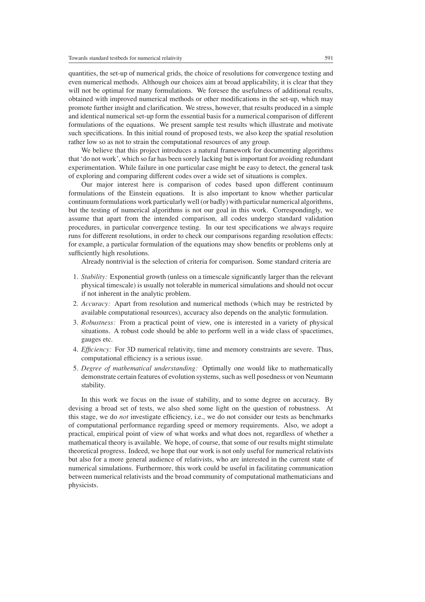quantities, the set-up of numerical grids, the choice of resolutions for convergence testing and even numerical methods. Although our choices aim at broad applicability, it is clear that they will not be optimal for many formulations. We foresee the usefulness of additional results, obtained with improved numerical methods or other modifications in the set-up, which may promote further insight and clarification. We stress, however, that results produced in a simple and identical numerical set-up form the essential basis for a numerical comparison of different formulations of the equations. We present sample test results which illustrate and motivate such specifications. In this initial round of proposed tests, we also keep the spatial resolution rather low so as not to strain the computational resources of any group.

We believe that this project introduces a natural framework for documenting algorithms that 'do not work', which so far has been sorely lacking but is important for avoiding redundant experimentation. While failure in one particular case might be easy to detect, the general task of exploring and comparing different codes over a wide set of situations is complex.

Our major interest here is comparison of codes based upon different continuum formulations of the Einstein equations. It is also important to know whether particular continuum formulations work particularly well (or badly) with particular numerical algorithms, but the testing of numerical algorithms is not our goal in this work. Correspondingly, we assume that apart from the intended comparison, all codes undergo standard validation procedures, in particular convergence testing. In our test specifications we always require runs for different resolutions, in order to check our comparisons regarding resolution effects: for example, a particular formulation of the equations may show benefits or problems only at sufficiently high resolutions.

Already nontrivial is the selection of criteria for comparison. Some standard criteria are

- 1. *Stability:* Exponential growth (unless on a timescale significantly larger than the relevant physical timescale) is usually not tolerable in numerical simulations and should not occur if not inherent in the analytic problem.
- 2. *Accuracy:* Apart from resolution and numerical methods (which may be restricted by available computational resources), accuracy also depends on the analytic formulation.
- 3. *Robustness:* From a practical point of view, one is interested in a variety of physical situations. A robust code should be able to perform well in a wide class of spacetimes, gauges etc.
- 4. *Efficiency:* For 3D numerical relativity, time and memory constraints are severe. Thus, computational efficiency is a serious issue.
- 5. *Degree of mathematical understanding:* Optimally one would like to mathematically demonstrate certain features of evolution systems, such as well posedness or von Neumann stability.

In this work we focus on the issue of stability, and to some degree on accuracy. By devising a broad set of tests, we also shed some light on the question of robustness. At this stage, we do *not* investigate efficiency, i.e., we do not consider our tests as benchmarks of computational performance regarding speed or memory requirements. Also, we adopt a practical, empirical point of view of what works and what does not, regardless of whether a mathematical theory is available. We hope, of course, that some of our results might stimulate theoretical progress. Indeed, we hope that our work is not only useful for numerical relativists but also for a more general audience of relativists, who are interested in the current state of numerical simulations. Furthermore, this work could be useful in facilitating communication between numerical relativists and the broad community of computational mathematicians and physicists.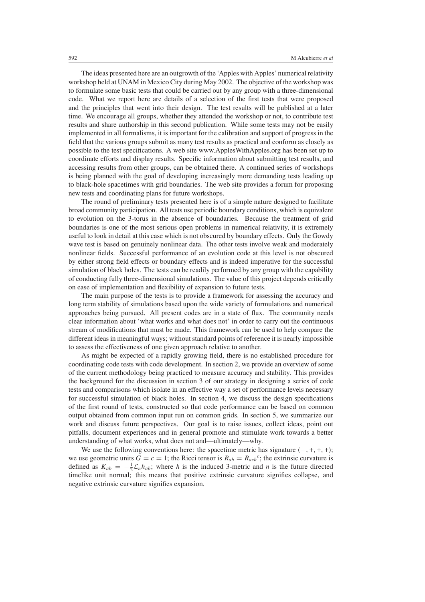The ideas presented here are an outgrowth of the 'Apples with Apples' numerical relativity workshop held at UNAM in Mexico City during May 2002. The objective of the workshop was to formulate some basic tests that could be carried out by any group with a three-dimensional code. What we report here are details of a selection of the first tests that were proposed and the principles that went into their design. The test results will be published at a later time. We encourage all groups, whether they attended the workshop or not, to contribute test results and share authorship in this second publication. While some tests may not be easily implemented in all formalisms, it is important for the calibration and support of progress in the field that the various groups submit as many test results as practical and conform as closely as possible to the test specifications. A web site www.ApplesWithApples.org has been set up to coordinate efforts and display results. Specific information about submitting test results, and accessing results from other groups, can be obtained there. A continued series of workshops is being planned with the goal of developing increasingly more demanding tests leading up to black-hole spacetimes with grid boundaries. The web site provides a forum for proposing new tests and coordinating plans for future workshops.

The round of preliminary tests presented here is of a simple nature designed to facilitate broad community participation. All tests use periodic boundary conditions, which is equivalent to evolution on the 3-torus in the absence of boundaries. Because the treatment of grid boundaries is one of the most serious open problems in numerical relativity, it is extremely useful to look in detail at this case which is not obscured by boundary effects. Only the Gowdy wave test is based on genuinely nonlinear data. The other tests involve weak and moderately nonlinear fields. Successful performance of an evolution code at this level is not obscured by either strong field effects or boundary effects and is indeed imperative for the successful simulation of black holes. The tests can be readily performed by any group with the capability of conducting fully three-dimensional simulations. The value of this project depends critically on ease of implementation and flexibility of expansion to future tests.

The main purpose of the tests is to provide a framework for assessing the accuracy and long term stability of simulations based upon the wide variety of formulations and numerical approaches being pursued. All present codes are in a state of flux. The community needs clear information about 'what works and what does not' in order to carry out the continuous stream of modifications that must be made. This framework can be used to help compare the different ideas in meaningful ways; without standard points of reference it is nearly impossible to assess the effectiveness of one given approach relative to another.

As might be expected of a rapidly growing field, there is no established procedure for coordinating code tests with code development. In section 2, we provide an overview of some of the current methodology being practiced to measure accuracy and stability. This provides the background for the discussion in section 3 of our strategy in designing a series of code tests and comparisons which isolate in an effective way a set of performance levels necessary for successful simulation of black holes. In section 4, we discuss the design specifications of the first round of tests, constructed so that code performance can be based on common output obtained from common input run on common grids. In section 5, we summarize our work and discuss future perspectives. Our goal is to raise issues, collect ideas, point out pitfalls, document experiences and in general promote and stimulate work towards a better understanding of what works, what does not and—ultimately—why.

We use the following conventions here: the spacetime metric has signature  $(-, +, +, +)$ ; we use geometric units  $G = c = 1$ ; the Ricci tensor is  $R_{ab} = R_{acb}^c$ ; the extrinsic curvature is defined as  $K_{ab} = -\frac{1}{2}\mathcal{L}_n h_{ab}$ ; where *h* is the induced 3-metric and *n* is the future directed timelike unit normal; this means that positive extrinsic curvature signifies collapse, and negative extrinsic curvature signifies expansion.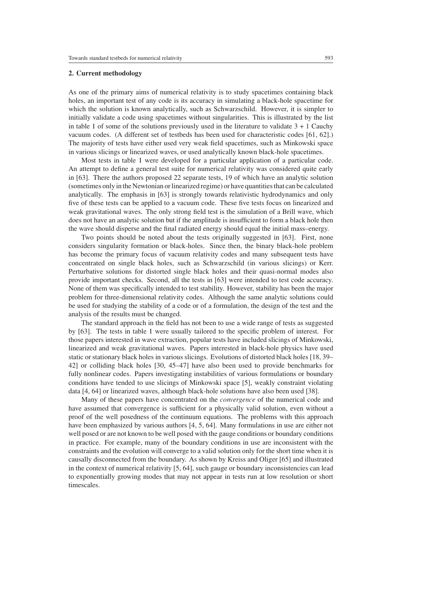#### **2. Current methodology**

As one of the primary aims of numerical relativity is to study spacetimes containing black holes, an important test of any code is its accuracy in simulating a black-hole spacetime for which the solution is known analytically, such as Schwarzschild. However, it is simpler to initially validate a code using spacetimes without singularities. This is illustrated by the list in table [1](#page-5-0) of some of the solutions previously used in the literature to validate  $3 + 1$  Cauchy vacuum codes. (A different set of testbeds has been used for characteristic codes [61, 62].) The majority of tests have either used very weak field spacetimes, such as Minkowski space in various slicings or linearized waves, or used analytically known black-hole spacetimes.

Most tests in table [1](#page-5-0) were developed for a particular application of a particular code. An attempt to define a general test suite for numerical relativity was considered quite early in [63]. There the authors proposed 22 separate tests, 19 of which have an analytic solution (sometimes only in the Newtonian or linearized regime) or have quantities that can be calculated analytically. The emphasis in [63] is strongly towards relativistic hydrodynamics and only five of these tests can be applied to a vacuum code. These five tests focus on linearized and weak gravitational waves. The only strong field test is the simulation of a Brill wave, which does not have an analytic solution but if the amplitude is insufficient to form a black hole then the wave should disperse and the final radiated energy should equal the initial mass–energy.

Two points should be noted about the tests originally suggested in [63]. First, none considers singularity formation or black-holes. Since then, the binary black-hole problem has become the primary focus of vacuum relativity codes and many subsequent tests have concentrated on single black holes, such as Schwarzschild (in various slicings) or Kerr. Perturbative solutions for distorted single black holes and their quasi-normal modes also provide important checks. Second, all the tests in [63] were intended to test code accuracy. None of them was specifically intended to test stability. However, stability has been the major problem for three-dimensional relativity codes. Although the same analytic solutions could be used for studying the stability of a code or of a formulation, the design of the test and the analysis of the results must be changed.

The standard approach in the field has not been to use a wide range of tests as suggested by [63]. The tests in table [1](#page-5-0) were usually tailored to the specific problem of interest. For those papers interested in wave extraction, popular tests have included slicings of Minkowski, linearized and weak gravitational waves. Papers interested in black-hole physics have used static or stationary black holes in various slicings. Evolutions of distorted black holes [18, 39– 42] or colliding black holes [30, 45–47] have also been used to provide benchmarks for fully nonlinear codes. Papers investigating instabilities of various formulations or boundary conditions have tended to use slicings of Minkowski space [5], weakly constraint violating data [4, 64] or linearized waves, although black-hole solutions have also been used [38].

Many of these papers have concentrated on the *convergence* of the numerical code and have assumed that convergence is sufficient for a physically valid solution, even without a proof of the well posedness of the continuum equations. The problems with this approach have been emphasized by various authors [4, 5, 64]. Many formulations in use are either not well posed or are not known to be well posed with the gauge conditions or boundary conditions in practice. For example, many of the boundary conditions in use are inconsistent with the constraints and the evolution will converge to a valid solution only for the short time when it is causally disconnected from the boundary. As shown by Kreiss and Oliger [65] and illustrated in the context of numerical relativity [5, 64], such gauge or boundary inconsistencies can lead to exponentially growing modes that may not appear in tests run at low resolution or short timescales.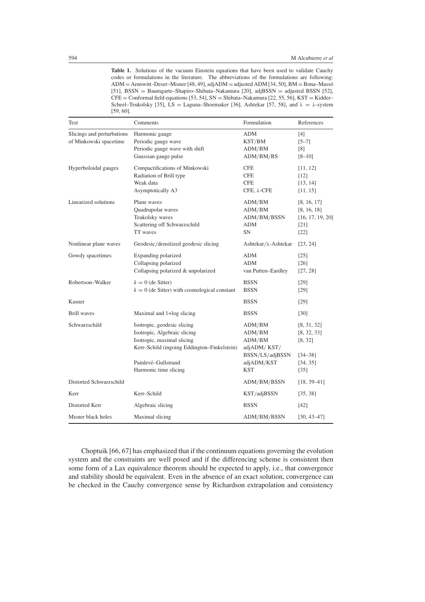<span id="page-5-0"></span>Table 1. Solutions of the vacuum Einstein equations that have been used to validate Cauchy codes or formulations in the literature. The abbreviations of the formulations are following:  $ADM = Arnowitt-Deser-Misner [48, 49], adjADM = adjusted ADM [34, 50], BM = Bona-Massó$ [51], BSSN = Baumgarte–Shapiro–Shibata–Nakamura [20], adjBSSN = adjusted BSSN [52], CFE = Conformal field equations [53, 54], SN = Shibata–Nakamura [22, 55, 56], KST = Kidder– Scheel–Teukolsky [35], LS = Laguna–Shoemaker [36], Ashtekar [57, 58], and  $\lambda = \lambda$ -system [59, 60].

| Test                                                 | Comments                                                                                                                                                                                 | Formulation                                                                              | References                                                                 |
|------------------------------------------------------|------------------------------------------------------------------------------------------------------------------------------------------------------------------------------------------|------------------------------------------------------------------------------------------|----------------------------------------------------------------------------|
| Slicings and perturbations<br>of Minkowski spacetime | Harmonic gauge<br>Periodic gauge wave<br>Periodic gauge wave with shift<br>Gaussian gauge pulse                                                                                          | <b>ADM</b><br>KST/BM<br>ADM/BM<br>ADM/BM/BS                                              | [4]<br>$[5-7]$<br>[8]<br>$[8 - 10]$                                        |
| Hyperboloidal gauges                                 | Compactifications of Minkowski<br>Radiation of Brill type<br>Weak data<br>Asymptotically A3                                                                                              | <b>CFE</b><br><b>CFE</b><br><b>CFE</b><br>CFE, λ-CFE                                     | [11, 12]<br>$[12]$<br>[13, 14]<br>[11, 15]                                 |
| Linearized solutions                                 | Plane waves<br>Quadrupolar waves<br>Teukolsky waves<br>Scattering off Schwarzschild<br>TT waves                                                                                          | ADM/BM<br>ADM/BM<br>ADM/BM/BSSN<br><b>ADM</b><br><b>SN</b>                               | [8, 16, 17]<br>[8, 16, 18]<br>[16, 17, 19, 20]<br>$[21]$<br>$[22]$         |
| Nonlinear plane waves                                | Geodesic/densitized geodesic slicing                                                                                                                                                     | Ashtekar/λ-Ashtekar                                                                      | [23, 24]                                                                   |
| Gowdy spacetimes                                     | Expanding polarized<br>Collapsing polarized<br>Collapsing polarized & unpolarized                                                                                                        | <b>ADM</b><br>ADM<br>van Putten-Eardley                                                  | $[25]$<br>$[26]$<br>[27, 28]                                               |
| Robertson-Walker                                     | $k = 0$ (de Sitter)<br>$k = 0$ (de Sitter) with cosmological constant                                                                                                                    | <b>BSSN</b><br><b>BSSN</b>                                                               | $[29]$<br>$[29]$                                                           |
| Kasner                                               |                                                                                                                                                                                          | <b>BSSN</b>                                                                              | $[29]$                                                                     |
| <b>Brill</b> waves                                   | Maximal and 1+log slicing                                                                                                                                                                | <b>BSSN</b>                                                                              | [30]                                                                       |
| Schwarzschild                                        | Isotropic, geodesic slicing<br>Isotropic, Algebraic slicing<br>Isotropic, maximal slicing<br>Kerr-Schild (ingoing Eddington-Finkelstein)<br>Painlevé-Gullstrand<br>Harmonic time slicing | ADM/BM<br>ADM/BM<br>ADM/BM<br>adjADM/KST/<br>BSSN/LS/adjBSSN<br>adjADM/KST<br><b>KST</b> | [8, 31, 32]<br>[8, 32, 33]<br>[8, 32]<br>$[34 - 38]$<br>[34, 35]<br>$[35]$ |
| Distorted Schwarzschild                              |                                                                                                                                                                                          | ADM/BM/BSSN                                                                              | $[18, 39 - 41]$                                                            |
| Kerr                                                 | Kerr-Schild                                                                                                                                                                              | KST/adjBSSN                                                                              | [35, 38]                                                                   |
| Distorted Kerr                                       | Algebraic slicing                                                                                                                                                                        | <b>BSSN</b>                                                                              | $[42]$                                                                     |
| Misner black holes                                   | Maximal slicing                                                                                                                                                                          | ADM/BM/BSSN                                                                              | $[30, 43 - 47]$                                                            |

Choptuik [66, 67] has emphasized that if the continuum equations governing the evolution system and the constraints are well posed and if the differencing scheme is consistent then some form of a Lax equivalence theorem should be expected to apply, i.e., that convergence and stability should be equivalent. Even in the absence of an exact solution, convergence can be checked in the Cauchy convergence sense by Richardson extrapolation and consistency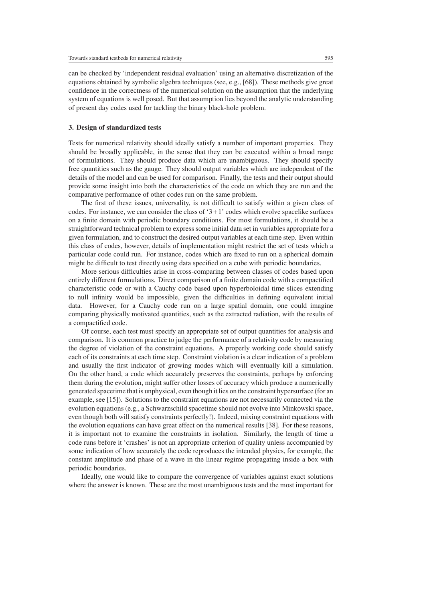can be checked by 'independent residual evaluation' using an alternative discretization of the equations obtained by symbolic algebra techniques (see, e.g., [68]). These methods give great confidence in the correctness of the numerical solution on the assumption that the underlying system of equations is well posed. But that assumption lies beyond the analytic understanding of present day codes used for tackling the binary black-hole problem.

#### **3. Design of standardized tests**

Tests for numerical relativity should ideally satisfy a number of important properties. They should be broadly applicable, in the sense that they can be executed within a broad range of formulations. They should produce data which are unambiguous. They should specify free quantities such as the gauge. They should output variables which are independent of the details of the model and can be used for comparison. Finally, the tests and their output should provide some insight into both the characteristics of the code on which they are run and the comparative performance of other codes run on the same problem.

The first of these issues, universality, is not difficult to satisfy within a given class of codes. For instance, we can consider the class of  $3 + 1$  codes which evolve spacelike surfaces on a finite domain with periodic boundary conditions. For most formulations, it should be a straightforward technical problem to express some initial data set in variables appropriate for a given formulation, and to construct the desired output variables at each time step. Even within this class of codes, however, details of implementation might restrict the set of tests which a particular code could run. For instance, codes which are fixed to run on a spherical domain might be difficult to test directly using data specified on a cube with periodic boundaries.

More serious difficulties arise in cross-comparing between classes of codes based upon entirely different formulations. Direct comparison of a finite domain code with a compactified characteristic code or with a Cauchy code based upon hyperboloidal time slices extending to null infinity would be impossible, given the difficulties in defining equivalent initial data. However, for a Cauchy code run on a large spatial domain, one could imagine comparing physically motivated quantities, such as the extracted radiation, with the results of a compactified code.

Of course, each test must specify an appropriate set of output quantities for analysis and comparison. It is common practice to judge the performance of a relativity code by measuring the degree of violation of the constraint equations. A properly working code should satisfy each of its constraints at each time step. Constraint violation is a clear indication of a problem and usually the first indicator of growing modes which will eventually kill a simulation. On the other hand, a code which accurately preserves the constraints, perhaps by enforcing them during the evolution, might suffer other losses of accuracy which produce a numerically generated spacetime that is unphysical, even though it lies on the constraint hypersurface (for an example, see [15]). Solutions to the constraint equations are not necessarily connected via the evolution equations (e.g., a Schwarzschild spacetime should not evolve into Minkowski space, even though both will satisfy constraints perfectly!). Indeed, mixing constraint equations with the evolution equations can have great effect on the numerical results [38]. For these reasons, it is important not to examine the constraints in isolation. Similarly, the length of time a code runs before it 'crashes' is not an appropriate criterion of quality unless accompanied by some indication of how accurately the code reproduces the intended physics, for example, the constant amplitude and phase of a wave in the linear regime propagating inside a box with periodic boundaries.

Ideally, one would like to compare the convergence of variables against exact solutions where the answer is known. These are the most unambiguous tests and the most important for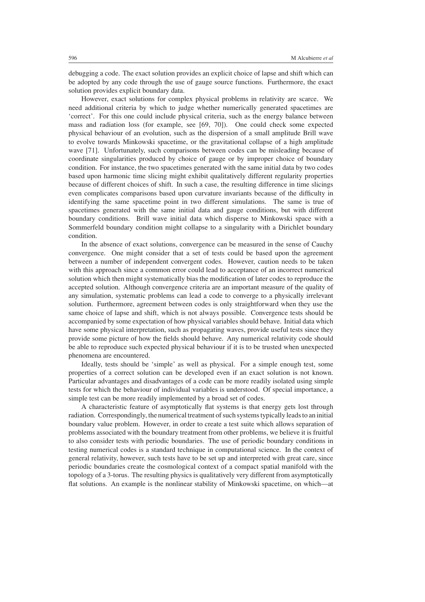debugging a code. The exact solution provides an explicit choice of lapse and shift which can be adopted by any code through the use of gauge source functions. Furthermore, the exact solution provides explicit boundary data.

However, exact solutions for complex physical problems in relativity are scarce. We need additional criteria by which to judge whether numerically generated spacetimes are 'correct'. For this one could include physical criteria, such as the energy balance between mass and radiation loss (for example, see [69, 70]). One could check some expected physical behaviour of an evolution, such as the dispersion of a small amplitude Brill wave to evolve towards Minkowski spacetime, or the gravitational collapse of a high amplitude wave [71]. Unfortunately, such comparisons between codes can be misleading because of coordinate singularities produced by choice of gauge or by improper choice of boundary condition. For instance, the two spacetimes generated with the same initial data by two codes based upon harmonic time slicing might exhibit qualitatively different regularity properties because of different choices of shift. In such a case, the resulting difference in time slicings even complicates comparisons based upon curvature invariants because of the difficulty in identifying the same spacetime point in two different simulations. The same is true of spacetimes generated with the same initial data and gauge conditions, but with different boundary conditions. Brill wave initial data which disperse to Minkowski space with a Sommerfeld boundary condition might collapse to a singularity with a Dirichlet boundary condition.

In the absence of exact solutions, convergence can be measured in the sense of Cauchy convergence. One might consider that a set of tests could be based upon the agreement between a number of independent convergent codes. However, caution needs to be taken with this approach since a common error could lead to acceptance of an incorrect numerical solution which then might systematically bias the modification of later codes to reproduce the accepted solution. Although convergence criteria are an important measure of the quality of any simulation, systematic problems can lead a code to converge to a physically irrelevant solution. Furthermore, agreement between codes is only straightforward when they use the same choice of lapse and shift, which is not always possible. Convergence tests should be accompanied by some expectation of how physical variables should behave. Initial data which have some physical interpretation, such as propagating waves, provide useful tests since they provide some picture of how the fields should behave. Any numerical relativity code should be able to reproduce such expected physical behaviour if it is to be trusted when unexpected phenomena are encountered.

Ideally, tests should be 'simple' as well as physical. For a simple enough test, some properties of a correct solution can be developed even if an exact solution is not known. Particular advantages and disadvantages of a code can be more readily isolated using simple tests for which the behaviour of individual variables is understood. Of special importance, a simple test can be more readily implemented by a broad set of codes.

A characteristic feature of asymptotically flat systems is that energy gets lost through radiation. Correspondingly, the numerical treatment of such systems typically leads to an initial boundary value problem. However, in order to create a test suite which allows separation of problems associated with the boundary treatment from other problems, we believe it is fruitful to also consider tests with periodic boundaries. The use of periodic boundary conditions in testing numerical codes is a standard technique in computational science. In the context of general relativity, however, such tests have to be set up and interpreted with great care, since periodic boundaries create the cosmological context of a compact spatial manifold with the topology of a 3-torus. The resulting physics is qualitatively very different from asymptotically flat solutions. An example is the nonlinear stability of Minkowski spacetime, on which—at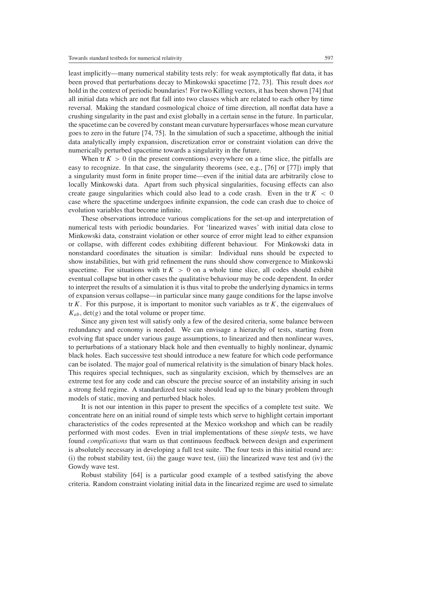least implicitly—many numerical stability tests rely: for weak asymptotically flat data, it has been proved that perturbations decay to Minkowski spacetime [72, 73]. This result does *not* hold in the context of periodic boundaries! For two Killing vectors, it has been shown [74] that all initial data which are not flat fall into two classes which are related to each other by time reversal. Making the standard cosmological choice of time direction, all nonflat data have a crushing singularity in the past and exist globally in a certain sense in the future. In particular, the spacetime can be covered by constant mean curvature hypersurfaces whose mean curvature goes to zero in the future [74, 75]. In the simulation of such a spacetime, although the initial data analytically imply expansion, discretization error or constraint violation can drive the numerically perturbed spacetime towards a singularity in the future.

When tr  $K > 0$  (in the present conventions) everywhere on a time slice, the pitfalls are easy to recognize. In that case, the singularity theorems (see, e.g., [76] or [77]) imply that a singularity must form in finite proper time—even if the initial data are arbitrarily close to locally Minkowski data. Apart from such physical singularities, focusing effects can also create gauge singularities which could also lead to a code crash. Even in the tr  $K < 0$ case where the spacetime undergoes infinite expansion, the code can crash due to choice of evolution variables that become infinite.

These observations introduce various complications for the set-up and interpretation of numerical tests with periodic boundaries. For 'linearized waves' with initial data close to Minkowski data, constraint violation or other source of error might lead to either expansion or collapse, with different codes exhibiting different behaviour. For Minkowski data in nonstandard coordinates the situation is similar: Individual runs should be expected to show instabilities, but with grid refinement the runs should show convergence to Minkowski spacetime. For situations with tr  $K > 0$  on a whole time slice, all codes should exhibit eventual collapse but in other cases the qualitative behaviour may be code dependent. In order to interpret the results of a simulation it is thus vital to probe the underlying dynamics in terms of expansion versus collapse—in particular since many gauge conditions for the lapse involve tr  $K$ . For this purpose, it is important to monitor such variables as  $tr K$ , the eigenvalues of  $K_{ab}$ , det(g) and the total volume or proper time.

Since any given test will satisfy only a few of the desired criteria, some balance between redundancy and economy is needed. We can envisage a hierarchy of tests, starting from evolving flat space under various gauge assumptions, to linearized and then nonlinear waves, to perturbations of a stationary black hole and then eventually to highly nonlinear, dynamic black holes. Each successive test should introduce a new feature for which code performance can be isolated. The major goal of numerical relativity is the simulation of binary black holes. This requires special techniques, such as singularity excision, which by themselves are an extreme test for any code and can obscure the precise source of an instability arising in such a strong field regime. A standardized test suite should lead up to the binary problem through models of static, moving and perturbed black holes.

It is not our intention in this paper to present the specifics of a complete test suite. We concentrate here on an initial round of simple tests which serve to highlight certain important characteristics of the codes represented at the Mexico workshop and which can be readily performed with most codes. Even in trial implementations of these *simple* tests, we have found *complications* that warn us that continuous feedback between design and experiment is absolutely necessary in developing a full test suite. The four tests in this initial round are: (i) the robust stability test, (ii) the gauge wave test, (iii) the linearized wave test and (iv) the Gowdy wave test.

Robust stability [64] is a particular good example of a testbed satisfying the above criteria. Random constraint violating initial data in the linearized regime are used to simulate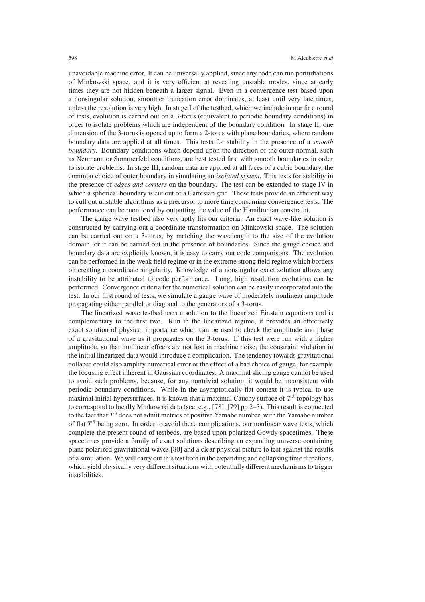unavoidable machine error. It can be universally applied, since any code can run perturbations of Minkowski space, and it is very efficient at revealing unstable modes, since at early times they are not hidden beneath a larger signal. Even in a convergence test based upon a nonsingular solution, smoother truncation error dominates, at least until very late times, unless the resolution is very high. In stage I of the testbed, which we include in our first round of tests, evolution is carried out on a 3-torus (equivalent to periodic boundary conditions) in order to isolate problems which are independent of the boundary condition. In stage II, one dimension of the 3-torus is opened up to form a 2-torus with plane boundaries, where random boundary data are applied at all times. This tests for stability in the presence of a *smooth boundary*. Boundary conditions which depend upon the direction of the outer normal, such as Neumann or Sommerfeld conditions, are best tested first with smooth boundaries in order to isolate problems. In stage III, random data are applied at all faces of a cubic boundary, the common choice of outer boundary in simulating an *isolated system*. This tests for stability in the presence of *edges and corners* on the boundary. The test can be extended to stage IV in which a spherical boundary is cut out of a Cartesian grid. These tests provide an efficient way to cull out unstable algorithms as a precursor to more time consuming convergence tests. The performance can be monitored by outputting the value of the Hamiltonian constraint.

The gauge wave testbed also very aptly fits our criteria. An exact wave-like solution is constructed by carrying out a coordinate transformation on Minkowski space. The solution can be carried out on a 3-torus, by matching the wavelength to the size of the evolution domain, or it can be carried out in the presence of boundaries. Since the gauge choice and boundary data are explicitly known, it is easy to carry out code comparisons. The evolution can be performed in the weak field regime or in the extreme strong field regime which borders on creating a coordinate singularity. Knowledge of a nonsingular exact solution allows any instability to be attributed to code performance. Long, high resolution evolutions can be performed. Convergence criteria for the numerical solution can be easily incorporated into the test. In our first round of tests, we simulate a gauge wave of moderately nonlinear amplitude propagating either parallel or diagonal to the generators of a 3-torus.

The linearized wave testbed uses a solution to the linearized Einstein equations and is complementary to the first two. Run in the linearized regime, it provides an effectively exact solution of physical importance which can be used to check the amplitude and phase of a gravitational wave as it propagates on the 3-torus. If this test were run with a higher amplitude, so that nonlinear effects are not lost in machine noise, the constraint violation in the initial linearized data would introduce a complication. The tendency towards gravitational collapse could also amplify numerical error or the effect of a bad choice of gauge, for example the focusing effect inherent in Gaussian coordinates. A maximal slicing gauge cannot be used to avoid such problems, because, for any nontrivial solution, it would be inconsistent with periodic boundary conditions. While in the asymptotically flat context it is typical to use maximal initial hypersurfaces, it is known that a maximal Cauchy surface of  $T<sup>3</sup>$  topology has to correspond to locally Minkowski data (see, e.g., [78], [79] pp 2–3). This result is connected to the fact that  $T<sup>3</sup>$  does not admit metrics of positive Yamabe number, with the Yamabe number of flat  $T<sup>3</sup>$  being zero. In order to avoid these complications, our nonlinear wave tests, which complete the present round of testbeds, are based upon polarized Gowdy spacetimes. These spacetimes provide a family of exact solutions describing an expanding universe containing plane polarized gravitational waves [80] and a clear physical picture to test against the results of a simulation. We will carry out this test both in the expanding and collapsing time directions, which yield physically very different situations with potentially different mechanisms to trigger instabilities.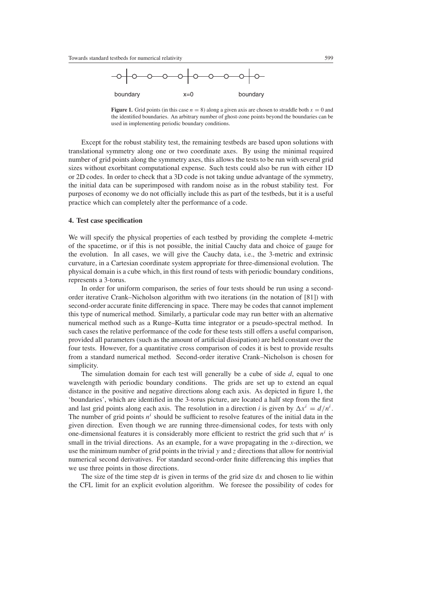

<span id="page-10-0"></span>**Figure 1.** Grid points (in this case  $n = 8$ ) along a given axis are chosen to straddle both  $x = 0$  and the identified boundaries. An arbitrary number of ghost-zone points beyond the boundaries can be used in implementing periodic boundary conditions.

Except for the robust stability test, the remaining testbeds are based upon solutions with translational symmetry along one or two coordinate axes. By using the minimal required number of grid points along the symmetry axes, this allows the tests to be run with several grid sizes without exorbitant computational expense. Such tests could also be run with either 1D or 2D codes. In order to check that a 3D code is not taking undue advantage of the symmetry, the initial data can be superimposed with random noise as in the robust stability test. For purposes of economy we do not officially include this as part of the testbeds, but it is a useful practice which can completely alter the performance of a code.

## **4. Test case specification**

We will specify the physical properties of each testbed by providing the complete 4-metric of the spacetime, or if this is not possible, the initial Cauchy data and choice of gauge for the evolution. In all cases, we will give the Cauchy data, i.e., the 3-metric and extrinsic curvature, in a Cartesian coordinate system appropriate for three-dimensional evolution. The physical domain is a cube which, in this first round of tests with periodic boundary conditions, represents a 3-torus.

In order for uniform comparison, the series of four tests should be run using a secondorder iterative Crank–Nicholson algorithm with two iterations (in the notation of [81]) with second-order accurate finite differencing in space. There may be codes that cannot implement this type of numerical method. Similarly, a particular code may run better with an alternative numerical method such as a Runge–Kutta time integrator or a pseudo-spectral method. In such cases the relative performance of the code for these tests still offers a useful comparison, provided all parameters (such as the amount of artificial dissipation) are held constant over the four tests. However, for a quantitative cross comparison of codes it is best to provide results from a standard numerical method. Second-order iterative Crank–Nicholson is chosen for simplicity.

The simulation domain for each test will generally be a cube of side *d*, equal to one wavelength with periodic boundary conditions. The grids are set up to extend an equal distance in the positive and negative directions along each axis. As depicted in figure [1,](#page-10-0) the 'boundaries', which are identified in the 3-torus picture, are located a half step from the first and last grid points along each axis. The resolution in a direction *i* is given by  $\Delta x^i = d/n^i$ . The number of grid points  $n<sup>i</sup>$  should be sufficient to resolve features of the initial data in the given direction. Even though we are running three-dimensional codes, for tests with only one-dimensional features it is considerably more efficient to restrict the grid such that  $n<sup>i</sup>$  is small in the trivial directions. As an example, for a wave propagating in the *x*-direction, we use the minimum number of grid points in the trivial *y* and *z* directions that allow for nontrivial numerical second derivatives. For standard second-order finite differencing this implies that we use three points in those directions.

The size of the time step d*t* is given in terms of the grid size d*x* and chosen to lie within the CFL limit for an explicit evolution algorithm. We foresee the possibility of codes for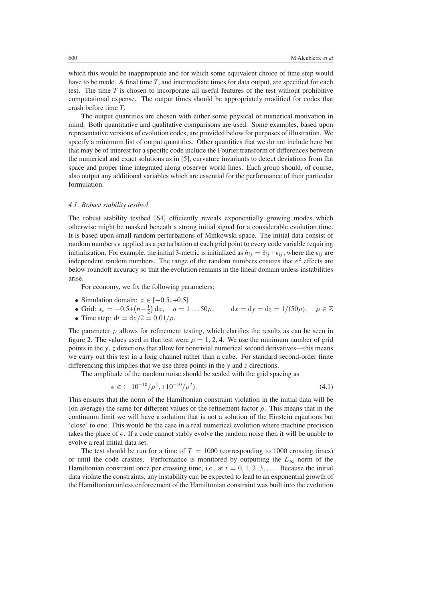which this would be inappropriate and for which some equivalent choice of time step would have to be made. A final time *T*, and intermediate times for data output, are specified for each test. The time *T* is chosen to incorporate all useful features of the test without prohibitive computational expense. The output times should be appropriately modified for codes that crash before time *T*.

The output quantities are chosen with either some physical or numerical motivation in mind. Both quantitative and qualitative comparisons are used. Some examples, based upon representative versions of evolution codes, are provided below for purposes of illustration. We specify a minimum list of output quantities. Other quantities that we do not include here but that may be of interest for a specific code include the Fourier transform of differences between the numerical and exact solutions as in [5], curvature invariants to detect deviations from flat space and proper time integrated along observer world lines. Each group should, of course, also output any additional variables which are essential for the performance of their particular formulation.

## *4.1. Robust stability testbed*

The robust stability testbed [64] efficiently reveals exponentially growing modes which otherwise might be masked beneath a strong initial signal for a considerable evolution time. It is based upon small random perturbations of Minkowski space. The initial data consist of random numbers  $\epsilon$  applied as a perturbation at each grid point to every code variable requiring initialization. For example, the initial 3-metric is initialized as  $h_{ij} = \delta_{ij} + \epsilon_{ij}$ , where the  $\epsilon_{ij}$  are independent random numbers. The range of the random numbers ensures that  $\epsilon^2$  effects are below roundoff accuracy so that the evolution remains in the linear domain unless instabilities arise.

For economy, we fix the following parameters:

• Simulation domain: *x* ∈ [−0*.*5*,* +0*.*5]

• Grid: 
$$
x_n = -0.5 + (n - \frac{1}{2}) dx
$$
,  $n = 1 ... 50\rho$ ,  $dx = dy = dz = 1/(50\rho)$ ,  $\rho \in \mathbb{Z}$   
• Time step:  $dt = dx/2 = 0.01/\rho$ .

The parameter  $\rho$  allows for refinement testing, which clarifies the results as can be seen in figure [2.](#page-12-0) The values used in that test were  $\rho = 1, 2, 4$ . We use the minimum number of grid points in the *y,z* directions that allow for nontrivial numerical second derivatives—this means we carry out this test in a long channel rather than a cube. For standard second-order finite differencing this implies that we use three points in the *y* and *z* directions.

The amplitude of the random noise should be scaled with the grid spacing as

$$
\epsilon \in (-10^{-10}/\rho^2, +10^{-10}/\rho^2). \tag{4.1}
$$

This ensures that the norm of the Hamiltonian constraint violation in the initial data will be (on average) the same for different values of the refinement factor  $\rho$ . This means that in the continuum limit we will have a solution that is not a solution of the Einstein equations but 'close' to one. This would be the case in a real numerical evolution where machine precision takes the place of  $\epsilon$ . If a code cannot stably evolve the random noise then it will be unable to evolve a real initial data set.

The test should be run for a time of  $T = 1000$  (corresponding to 1000 crossing times) or until the code crashes. Performance is monitored by outputting the  $L_{\infty}$  norm of the Hamiltonian constraint once per crossing time, i.e., at  $t = 0, 1, 2, 3, \ldots$ . Because the initial data violate the constraints, any instability can be expected to lead to an exponential growth of the Hamiltonian unless enforcement of the Hamiltonian constraint was built into the evolution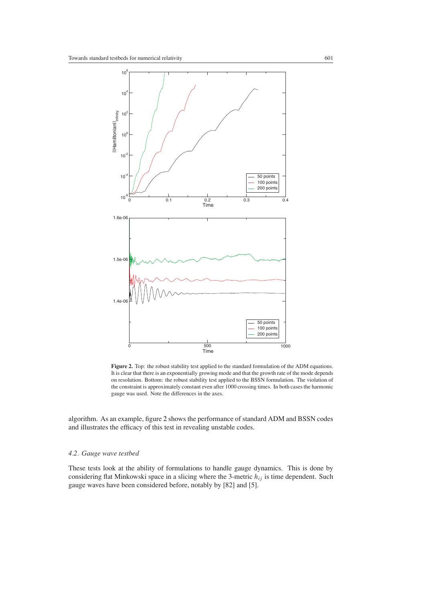

<span id="page-12-0"></span>**Figure 2.** Top: the robust stability test applied to the standard formulation of the ADM equations. It is clear that there is an exponentially growing mode and that the growth rate of the mode depends on resolution. Bottom: the robust stability test applied to the BSSN formulation. The violation of the constraint is approximately constant even after 1000 crossing times. In both cases the harmonic gauge was used. Note the differences in the axes.

algorithm. As an example, figure [2](#page-12-0) shows the performance of standard ADM and BSSN codes and illustrates the efficacy of this test in revealing unstable codes.

## *4.2. Gauge wave testbed*

These tests look at the ability of formulations to handle gauge dynamics. This is done by considering flat Minkowski space in a slicing where the 3-metric  $h_{ij}$  is time dependent. Such gauge waves have been considered before, notably by [82] and [5].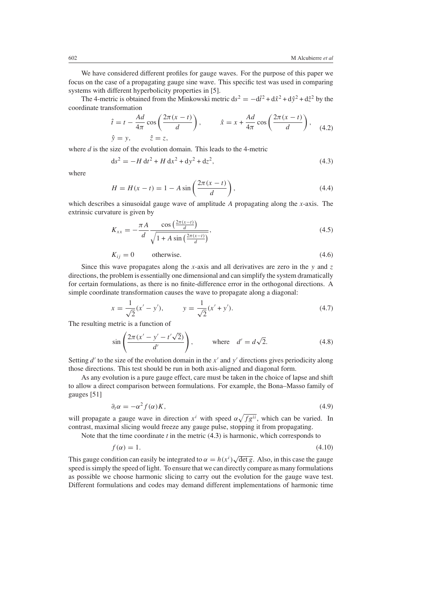We have considered different profiles for gauge waves. For the purpose of this paper we focus on the case of a propagating gauge sine wave. This specific test was used in comparing systems with different hyperbolicity properties in [5].

The 4-metric is obtained from the Minkowski metric  $ds^2 = -dt^2 + d\hat{x}^2 + d\hat{y}^2 + d\hat{z}^2$  by the coordinate transformation

$$
\hat{t} = t - \frac{Ad}{4\pi} \cos\left(\frac{2\pi(x - t)}{d}\right), \qquad \hat{x} = x + \frac{Ad}{4\pi} \cos\left(\frac{2\pi(x - t)}{d}\right),
$$
\n
$$
\hat{y} = y, \qquad \hat{z} = z,
$$
\n(4.2)

<span id="page-13-0"></span>where *d* is the size of the evolution domain. This leads to the 4-metric

$$
= -H dt2 + H dx2 + dy2 + dz2,
$$
 (4.3)

where

$$
H = H(x - t) = 1 - A \sin\left(\frac{2\pi(x - t)}{d}\right),
$$
\n(4.4)

which describes a sinusoidal gauge wave of amplitude *A* propagating along the *x*-axis. The extrinsic curvature is given by

$$
K_{xx} = -\frac{\pi A}{d} \frac{\cos\left(\frac{2\pi(x-t)}{d}\right)}{\sqrt{1 + A\sin\left(\frac{2\pi(x-t)}{d}\right)}},\tag{4.5}
$$

$$
K_{ij} = 0 \qquad \text{otherwise.} \tag{4.6}
$$

Since this wave propagates along the *x*-axis and all derivatives are zero in the *y* and *z* directions, the problem is essentially one dimensional and can simplify the system dramatically for certain formulations, as there is no finite-difference error in the orthogonal directions. A simple coordinate transformation causes the wave to propagate along a diagonal:

$$
x = \frac{1}{\sqrt{2}}(x' - y'), \qquad y = \frac{1}{\sqrt{2}}(x' + y'). \tag{4.7}
$$

The resulting metric is a function of

 $ds^2$ 

$$
\sin\left(\frac{2\pi(x'-y'-t'\sqrt{2})}{d'}\right), \qquad \text{where} \quad d'=d\sqrt{2}.
$$
 (4.8)

Setting  $d'$  to the size of the evolution domain in the  $x'$  and  $y'$  directions gives periodicity along those directions. This test should be run in both axis-aligned and diagonal form.

As any evolution is a pure gauge effect, care must be taken in the choice of lapse and shift to allow a direct comparison between formulations. For example, the Bona–Masso family of gauges [51]

$$
\partial_t \alpha = -\alpha^2 f(\alpha) K, \tag{4.9}
$$

will propagate a gauge wave in direction  $x^i$  with speed  $\alpha \sqrt{fg^{ii}}$ , which can be varied. In contrast, maximal slicing would freeze any gauge pulse, stopping it from propagating.

Note that the time coordinate *t* in the metric [\(4.3\)](#page-13-0) is harmonic, which corresponds to

$$
f(\alpha) = 1. \tag{4.10}
$$

This gauge condition can easily be integrated to  $\alpha = h(x^i)\sqrt{\det g}$ . Also, in this case the gauge speed is simply the speed of light. To ensure that we can directly compare as many formulations as possible we choose harmonic slicing to carry out the evolution for the gauge wave test. Different formulations and codes may demand different implementations of harmonic time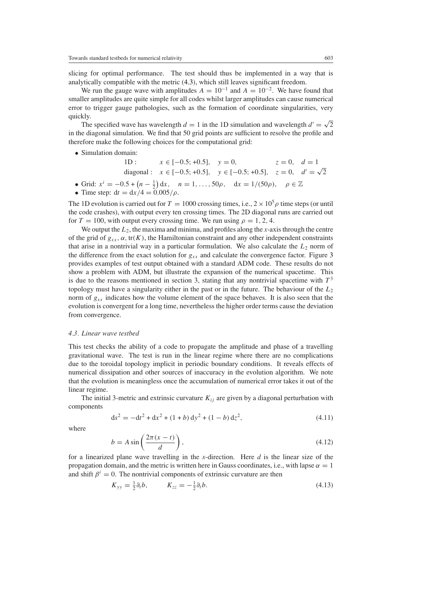slicing for optimal performance. The test should thus be implemented in a way that is analytically compatible with the metric [\(4.3\)](#page-13-0), which still leaves significant freedom.

We run the gauge wave with amplitudes  $A = 10^{-1}$  and  $A = 10^{-2}$ . We have found that smaller amplitudes are quite simple for all codes whilst larger amplitudes can cause numerical error to trigger gauge pathologies, such as the formation of coordinate singularities, very quickly.

The specified wave has wavelength  $d = 1$  in the 1D simulation and wavelength  $d' = \sqrt{2}$ in the diagonal simulation. We find that 50 grid points are sufficient to resolve the profile and therefore make the following choices for the computational grid:

• Simulation domain:<br>1D:

 $x \in [-0.5; +0.5], \quad y = 0, \quad z = 0, \quad d = 1$ diagonal :  $x \in [-0.5; +0.5]$ ,  $y \in [-0.5; +0.5]$ ,  $z = 0$ ,  $d' = \sqrt{2}$ • Grid:  $x^i = -0.5 + (n - \frac{1}{2}) dx$ ,  $n = 1, ..., 50\rho$ ,  $dx = 1/(50\rho)$ ,  $\rho \in \mathbb{Z}$ • Time step:  $dt = dx/4 = 0.005/\rho$ .

The 1D evolution is carried out for  $T = 1000$  crossing times, i.e.,  $2 \times 10^5 \rho$  time steps (or until the code crashes), with output every ten crossing times. The 2D diagonal runs are carried out for  $T = 100$ , with output every crossing time. We run using  $\rho = 1, 2, 4$ .

We output the *L*2, the maxima and minima, and profiles along the *x*-axis through the centre of the grid of  $g_{xx}$ ,  $\alpha$ , tr(K), the Hamiltonian constraint and any other independent constraints that arise in a nontrivial way in a particular formulation. We also calculate the  $L_2$  norm of the difference from the exact solution for  $g_{xx}$  and calculate the convergence factor. Figure [3](#page-15-0) provides examples of test output obtained with a standard ADM code. These results do not show a problem with ADM, but illustrate the expansion of the numerical spacetime. This is due to the reasons mentioned in section 3, stating that any nontrivial spacetime with  $T<sup>3</sup>$ topology must have a singularity either in the past or in the future. The behaviour of the *L*<sup>2</sup> norm of  $g_{xx}$  indicates how the volume element of the space behaves. It is also seen that the evolution is convergent for a long time, nevertheless the higher order terms cause the deviation from convergence.

## *4.3. Linear wave testbed*

This test checks the ability of a code to propagate the amplitude and phase of a travelling gravitational wave. The test is run in the linear regime where there are no complications due to the toroidal topology implicit in periodic boundary conditions. It reveals effects of numerical dissipation and other sources of inaccuracy in the evolution algorithm. We note that the evolution is meaningless once the accumulation of numerical error takes it out of the linear regime.

The initial 3-metric and extrinsic curvature  $K_{ij}$  are given by a diagonal perturbation with components

$$
ds^{2} = -dt^{2} + dx^{2} + (1+b) dy^{2} + (1-b) dz^{2},
$$
\n(4.11)

where

$$
b = A \sin\left(\frac{2\pi(x-t)}{d}\right),\tag{4.12}
$$

for a linearized plane wave travelling in the *x*-direction. Here *d* is the linear size of the propagation domain, and the metric is written here in Gauss coordinates, i.e., with lapse  $\alpha = 1$ and shift  $\beta^i = 0$ . The nontrivial components of extrinsic curvature are then

$$
K_{yy} = \frac{1}{2}\partial_t b, \qquad K_{zz} = -\frac{1}{2}\partial_t b. \tag{4.13}
$$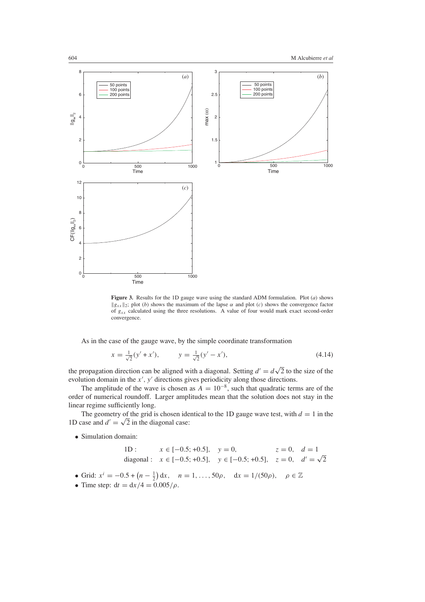

<span id="page-15-0"></span>**Figure 3.** Results for the 1D gauge wave using the standard ADM formulation. Plot (*a*) shows  $\|g_{xx}\|_2$ ; plot (*b*) shows the maximum of the lapse  $\alpha$  and plot (*c*) shows the convergence factor of  $g_{xx}$  calculated using the three resolutions. A value of four would mark exact second-order convergence.

As in the case of the gauge wave, by the simple coordinate transformation

$$
x = \frac{1}{\sqrt{2}}(y' + x'), \qquad y = \frac{1}{\sqrt{2}}(y' - x'), \tag{4.14}
$$

the propagation direction can be aligned with a diagonal. Setting  $d' = d\sqrt{2}$  to the size of the evolution domain in the x', y' directions gives periodicity along those directions.

The amplitude of the wave is chosen as  $\ddot{A} = 10^{-8}$ , such that quadratic terms are of the order of numerical roundoff. Larger amplitudes mean that the solution does not stay in the linear regime sufficiently long.

The geometry of the grid is chosen identical to the 1D gauge wave test, with  $d = 1$  in the 1D case and  $d' = \sqrt{2}$  in the diagonal case:

• Simulation domain:

1D : *x* ∈ [−0*.*5; +0*.*5]*, y* = 0*, z* = 0*, d* = 1 diagonal :  $x \in [-0.5; +0.5]$ ,  $y \in [-0.5; +0.5]$ ,  $z = 0$ ,  $d' = \sqrt{2}$ 

- Grid:  $x^i = -0.5 + (n \frac{1}{2}) dx$ ,  $n = 1, ..., 50\rho$ ,  $dx = 1/(50\rho)$ ,  $\rho \in \mathbb{Z}$
- Time step:  $dt = dx/4 = 0.005/\rho$ .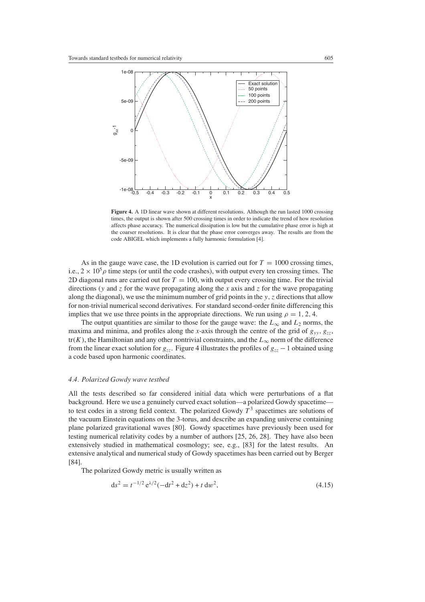

<span id="page-16-0"></span>**Figure 4.** A 1D linear wave shown at different resolutions. Although the run lasted 1000 crossing times, the output is shown after 500 crossing times in order to indicate the trend of how resolution affects phase accuracy. The numerical dissipation is low but the cumulative phase error is high at the coarser resolutions. It is clear that the phase error converges away. The results are from the code ABIGEL which implements a fully harmonic formulation [4].

As in the gauge wave case, the 1D evolution is carried out for  $T = 1000$  crossing times, i.e.,  $2 \times 10^5 \rho$  time steps (or until the code crashes), with output every ten crossing times. The 2D diagonal runs are carried out for  $T = 100$ , with output every crossing time. For the trivial directions (*y* and *z* for the wave propagating along the *x* axis and *z* for the wave propagating along the diagonal), we use the minimum number of grid points in the *y,z* directions that allow for non-trivial numerical second derivatives. For standard second-order finite differencing this implies that we use three points in the appropriate directions. We run using  $\rho = 1, 2, 4$ .

The output quantities are similar to those for the gauge wave: the  $L_{\infty}$  and  $L_2$  norms, the maxima and minima, and profiles along the *x*-axis through the centre of the grid of  $g_{yy}$ ,  $g_{zz}$ , tr $(K)$ , the Hamiltonian and any other nontrivial constraints, and the  $L_{\infty}$  norm of the difference from the linear exact solution for  $g_{zz}$ . Figure [4](#page-16-0) illustrates the profiles of  $g_{zz} - 1$  obtained using a code based upon harmonic coordinates.

# *4.4. Polarized Gowdy wave testbed*

All the tests described so far considered initial data which were perturbations of a flat background. Here we use a genuinely curved exact solution—a polarized Gowdy spacetime to test codes in a strong field context. The polarized Gowdy  $T<sup>3</sup>$  spacetimes are solutions of the vacuum Einstein equations on the 3-torus, and describe an expanding universe containing plane polarized gravitational waves [80]. Gowdy spacetimes have previously been used for testing numerical relativity codes by a number of authors [25, 26, 28]. They have also been extensively studied in mathematical cosmology; see, e.g., [83] for the latest results. An extensive analytical and numerical study of Gowdy spacetimes has been carried out by Berger [84].

<span id="page-16-1"></span>The polarized Gowdy metric is usually written as

$$
ds^{2} = t^{-1/2} e^{\lambda/2} (-dt^{2} + dz^{2}) + t dw^{2},
$$
\n(4.15)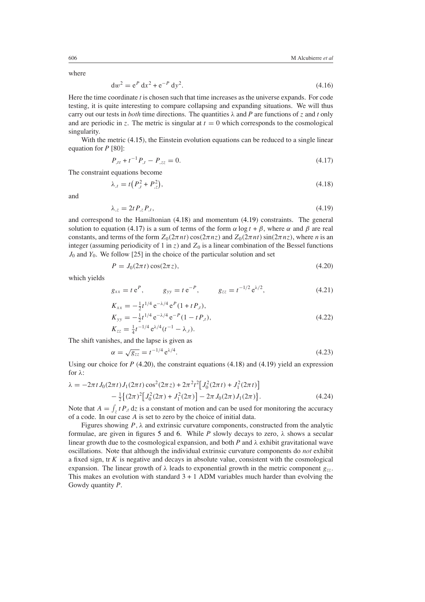where

$$
dw^2 = e^P dx^2 + e^{-P} dy^2.
$$
 (4.16)

Here the time coordinate *t* is chosen such that time increases as the universe expands. For code testing, it is quite interesting to compare collapsing and expanding situations. We will thus carry out our tests in *both* time directions. The quantities *λ* and *P* are functions of *z* and *t* only and are periodic in *z*. The metric is singular at  $t = 0$  which corresponds to the cosmological singularity.

<span id="page-17-2"></span>With the metric [\(4.15\)](#page-16-1), the Einstein evolution equations can be reduced to a single linear equation for *P* [80]:

$$
P_{,tt} + t^{-1}P_{,t} - P_{,zz} = 0. \tag{4.17}
$$

<span id="page-17-0"></span>The constraint equations become

$$
\lambda_{,t} = t \left( P_{,t}^2 + P_{,z}^2 \right),\tag{4.18}
$$

<span id="page-17-1"></span>and

$$
\lambda_{,z} = 2t P_{,z} P_{,t},\tag{4.19}
$$

and correspond to the Hamiltonian [\(4.18\)](#page-17-0) and momentum [\(4.19\)](#page-17-1) constraints. The general solution to equation [\(4.17\)](#page-17-2) is a sum of terms of the form  $\alpha \log t + \beta$ , where  $\alpha$  and  $\beta$  are real constants, and terms of the form  $Z_0(2\pi nt)\cos(2\pi nz)$  and  $Z_0(2\pi nt)\sin(2\pi nz)$ , where *n* is an integer (assuming periodicity of 1 in  $z$ ) and  $Z_0$  is a linear combination of the Bessel functions  $J_0$  and  $Y_0$ . We follow [25] in the choice of the particular solution and set

$$
P = J_0(2\pi t)\cos(2\pi z),\tag{4.20}
$$

<span id="page-17-4"></span><span id="page-17-3"></span>which yields

$$
g_{xx} = t e^P
$$
,  $g_{yy} = t e^{-P}$ ,  $g_{zz} = t^{-1/2} e^{\lambda/2}$ , (4.21)

$$
K_{xx} = -\frac{1}{2}t^{1/4} e^{-\lambda/4} e^{P} (1 + t P_{,t}),
$$
  
\n
$$
K_{yy} = -\frac{1}{2}t^{1/4} e^{-\lambda/4} e^{-P} (1 - t P_{,t}),
$$
  
\n
$$
K_{zz} = \frac{1}{4}t^{-1/4} e^{\lambda/4} (t^{-1} - \lambda_{,t}).
$$
\n(4.22)

<span id="page-17-5"></span>The shift vanishes, and the lapse is given as

$$
\alpha = \sqrt{g_{zz}} = t^{-1/4} e^{\lambda/4}.
$$
\n(4.23)

Using our choice for  $P$  [\(4.20\)](#page-17-3), the constraint equations [\(4.18\)](#page-17-0) and [\(4.19\)](#page-17-1) yield an expression for *λ*:

<span id="page-17-6"></span>
$$
\lambda = -2\pi t J_0(2\pi t) J_1(2\pi t) \cos^2(2\pi z) + 2\pi^2 t^2 [J_0^2(2\pi t) + J_1^2(2\pi t)] -\frac{1}{2} \{ (2\pi)^2 [J_0^2(2\pi) + J_1^2(2\pi)] - 2\pi J_0(2\pi) J_1(2\pi) \}.
$$
\n(4.24)

Note that  $A = \int_z t P_{,t} dz$  is a constant of motion and can be used for monitoring the accuracy of a code. In our case *A* is set to zero by the choice of initial data.

Figures showing  $P$ ,  $\lambda$  and extrinsic curvature components, constructed from the analytic formulae, are given in figures [5](#page-18-0) and [6.](#page-18-1) While *P* slowly decays to zero, *λ* shows a secular linear growth due to the cosmological expansion, and both *P* and  $\lambda$  exhibit gravitational wave oscillations. Note that although the individual extrinsic curvature components do *not* exhibit a fixed sign, tr *K* is negative and decays in absolute value, consistent with the cosmological expansion. The linear growth of *λ* leads to exponential growth in the metric component *gzz*. This makes an evolution with standard  $3 + 1$  ADM variables much harder than evolving the Gowdy quantity *P*.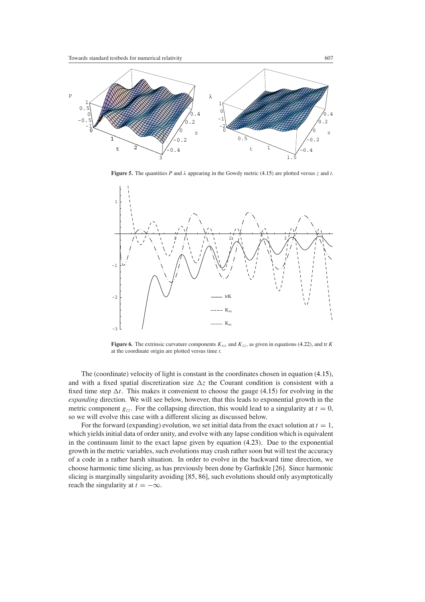

**Figure 5.** The quantities *P* and *λ* appearing in the Gowdy metric [\(4.15\)](#page-16-1) are plotted versus *z* and *t*.

<span id="page-18-0"></span>

<span id="page-18-1"></span>**Figure 6.** The extrinsic curvature components  $K_{xx}$  and  $K_{zz}$ , as given in equations [\(4.22\)](#page-17-4), and tr *K* at the coordinate origin are plotted versus time *t*.

The (coordinate) velocity of light is constant in the coordinates chosen in equation [\(4.15\)](#page-16-1), and with a fixed spatial discretization size  $\Delta z$  the Courant condition is consistent with a fixed time step  $\Delta t$ . This makes it convenient to choose the gauge [\(4.15\)](#page-16-1) for evolving in the *expanding* direction. We will see below, however, that this leads to exponential growth in the metric component  $g_{zz}$ . For the collapsing direction, this would lead to a singularity at  $t = 0$ , so we will evolve this case with a different slicing as discussed below.

For the forward (expanding) evolution, we set initial data from the exact solution at  $t = 1$ , which yields initial data of order unity, and evolve with any lapse condition which is equivalent in the continuum limit to the exact lapse given by equation [\(4.23\)](#page-17-5). Due to the exponential growth in the metric variables, such evolutions may crash rather soon but will test the accuracy of a code in a rather harsh situation. In order to evolve in the backward time direction, we choose harmonic time slicing, as has previously been done by Garfinkle [26]. Since harmonic slicing is marginally singularity avoiding [85, 86], such evolutions should only asymptotically reach the singularity at  $t = -\infty$ .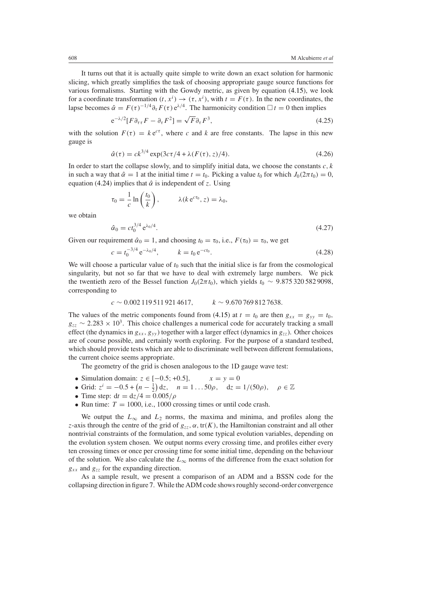It turns out that it is actually quite simple to write down an exact solution for harmonic slicing, which greatly simplifies the task of choosing appropriate gauge source functions for various formalisms. Starting with the Gowdy metric, as given by equation [\(4.15\)](#page-16-1), we look for a coordinate transformation  $(t, x^i) \rightarrow (\tau, x^i)$ , with  $t = F(\tau)$ . In the new coordinates, the lapse becomes  $\hat{\alpha} = F(\tau)^{-1/4} \partial_{\tau} F(\tau) e^{\lambda/4}$ . The harmonicity condition  $\Box t = 0$  then implies

$$
e^{-\lambda/2}[F\partial_{\tau\tau}F - \partial_{\tau}F^2] = \sqrt{F}\partial_{\tau}F^3,\tag{4.25}
$$

with the solution  $F(\tau) = k e^{c\tau}$ , where *c* and *k* are free constants. The lapse in this new gauge is

$$
\hat{\alpha}(\tau) = ck^{3/4} \exp(3c\tau/4 + \lambda(F(\tau), z)/4). \tag{4.26}
$$

In order to start the collapse slowly, and to simplify initial data, we choose the constants *c, k* in such a way that  $\hat{\alpha} = 1$  at the initial time  $t = t_0$ . Picking a value  $t_0$  for which  $J_0(2\pi t_0) = 0$ , equation [\(4.24\)](#page-17-6) implies that  $\hat{\alpha}$  is independent of *z*. Using

$$
\tau_0 = \frac{1}{c} \ln \left( \frac{t_0}{k} \right), \qquad \lambda(k e^{c\tau_0}, z) = \lambda_0,
$$

we obtain

$$
\hat{\alpha}_0 = ct_0^{3/4} e^{\lambda_0/4}.
$$
\n(4.27)

Given our requirement  $\hat{\alpha}_0 = 1$ , and choosing  $t_0 = \tau_0$ , i.e.,  $F(\tau_0) = \tau_0$ , we get

$$
c = t_0^{-3/4} e^{-\lambda_0/4}, \qquad k = t_0 e^{-ct_0}.
$$
\n(4.28)

We will choose a particular value of  $t_0$  such that the initial slice is far from the cosmological singularity, but not so far that we have to deal with extremely large numbers. We pick the twentieth zero of the Bessel function  $J_0(2\pi t_0)$ , which yields  $t_0 \sim 9.8753205829098$ , corresponding to

$$
c \sim 0.0021195119214617, \qquad k \sim 9.6707698127638.
$$

The values of the metric components found from [\(4.15\)](#page-16-1) at  $t = t_0$  are then  $g_{xx} = g_{yy} = t_0$ ,  $g_{zz} \sim 2.283 \times 10^3$ . This choice challenges a numerical code for accurately tracking a small effect (the dynamics in  $g_{xx}$ ,  $g_{yy}$ ) together with a larger effect (dynamics in  $g_{zz}$ ). Other choices are of course possible, and certainly worth exploring. For the purpose of a standard testbed, which should provide tests which are able to discriminate well between different formulations, the current choice seems appropriate.

The geometry of the grid is chosen analogous to the 1D gauge wave test:

- Simulation domain: *z* ∈ [−0*.*5; +0*.*5]*, x* = *y* = 0
- Grid:  $z^i = -0.5 + (n \frac{1}{2}) dz$ ,  $n = 1 ... 50ρ$ ,  $dz = 1/(50ρ)$ ,  $ρ ∈ Z$
- Time step:  $dt = dz/4 = 0.005/\rho$
- Run time:  $T = 1000$ , i.e., 1000 crossing times or until code crash.

We output the  $L_{\infty}$  and  $L_2$  norms, the maxima and minima, and profiles along the *z*-axis through the centre of the grid of  $g_{zz}$ ,  $\alpha$ , tr(K), the Hamiltonian constraint and all other nontrivial constraints of the formulation, and some typical evolution variables, depending on the evolution system chosen. We output norms every crossing time, and profiles either every ten crossing times or once per crossing time for some initial time, depending on the behaviour of the solution. We also calculate the  $L_{\infty}$  norms of the difference from the exact solution for *gxx* and *gzz* for the expanding direction.

As a sample result, we present a comparison of an ADM and a BSSN code for the collapsing direction in figure [7.](#page-20-0) While the ADM code shows roughly second-order convergence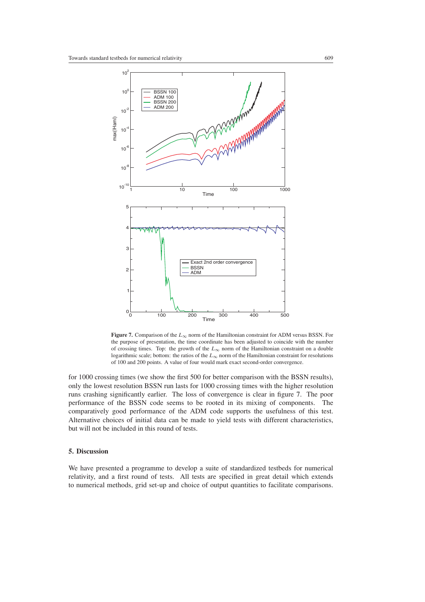

<span id="page-20-0"></span>**Figure 7.** Comparison of the  $L_{\infty}$  norm of the Hamiltonian constraint for ADM versus BSSN. For the purpose of presentation, the time coordinate has been adjusted to coincide with the number of crossing times. Top: the growth of the  $L_{\infty}$  norm of the Hamiltonian constraint on a double logarithmic scale; bottom: the ratios of the  $L_{\infty}$  norm of the Hamiltonian constraint for resolutions of 100 and 200 points. A value of four would mark exact second-order convergence.

for 1000 crossing times (we show the first 500 for better comparison with the BSSN results), only the lowest resolution BSSN run lasts for 1000 crossing times with the higher resolution runs crashing significantly earlier. The loss of convergence is clear in figure [7.](#page-20-0) The poor performance of the BSSN code seems to be rooted in its mixing of components. The comparatively good performance of the ADM code supports the usefulness of this test. Alternative choices of initial data can be made to yield tests with different characteristics, but will not be included in this round of tests.

# **5. Discussion**

We have presented a programme to develop a suite of standardized testbeds for numerical relativity, and a first round of tests. All tests are specified in great detail which extends to numerical methods, grid set-up and choice of output quantities to facilitate comparisons.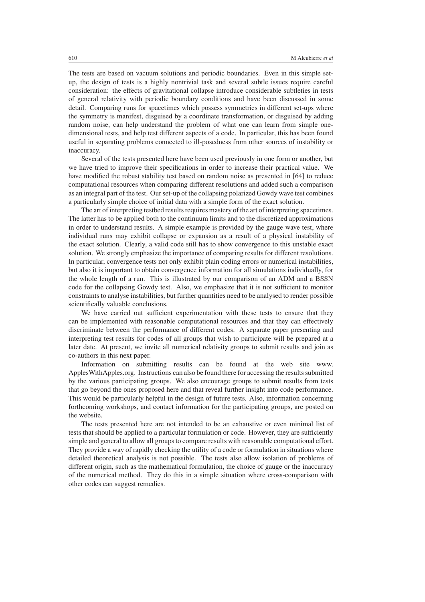The tests are based on vacuum solutions and periodic boundaries. Even in this simple setup, the design of tests is a highly nontrivial task and several subtle issues require careful consideration: the effects of gravitational collapse introduce considerable subtleties in tests of general relativity with periodic boundary conditions and have been discussed in some detail. Comparing runs for spacetimes which possess symmetries in different set-ups where the symmetry is manifest, disguised by a coordinate transformation, or disguised by adding random noise, can help understand the problem of what one can learn from simple onedimensional tests, and help test different aspects of a code. In particular, this has been found useful in separating problems connected to ill-posedness from other sources of instability or inaccuracy.

Several of the tests presented here have been used previously in one form or another, but we have tried to improve their specifications in order to increase their practical value. We have modified the robust stability test based on random noise as presented in [64] to reduce computational resources when comparing different resolutions and added such a comparison as an integral part of the test. Our set-up of the collapsing polarized Gowdy wave test combines a particularly simple choice of initial data with a simple form of the exact solution.

The art of interpreting testbed results requires mastery of the art of interpreting spacetimes. The latter has to be applied both to the continuum limits and to the discretized approximations in order to understand results. A simple example is provided by the gauge wave test, where individual runs may exhibit collapse or expansion as a result of a physical instability of the exact solution. Clearly, a valid code still has to show convergence to this unstable exact solution. We strongly emphasize the importance of comparing results for different resolutions. In particular, convergence tests not only exhibit plain coding errors or numerical instabilities, but also it is important to obtain convergence information for all simulations individually, for the whole length of a run. This is illustrated by our comparison of an ADM and a BSSN code for the collapsing Gowdy test. Also, we emphasize that it is not sufficient to monitor constraints to analyse instabilities, but further quantities need to be analysed to render possible scientifically valuable conclusions.

We have carried out sufficient experimentation with these tests to ensure that they can be implemented with reasonable computational resources and that they can effectively discriminate between the performance of different codes. A separate paper presenting and interpreting test results for codes of all groups that wish to participate will be prepared at a later date. At present, we invite all numerical relativity groups to submit results and join as co-authors in this next paper.

Information on submitting results can be found at the web site www. ApplesWithApples.org. Instructions can also be found there for accessing the results submitted by the various participating groups. We also encourage groups to submit results from tests that go beyond the ones proposed here and that reveal further insight into code performance. This would be particularly helpful in the design of future tests. Also, information concerning forthcoming workshops, and contact information for the participating groups, are posted on the website.

The tests presented here are not intended to be an exhaustive or even minimal list of tests that should be applied to a particular formulation or code. However, they are sufficiently simple and general to allow all groups to compare results with reasonable computational effort. They provide a way of rapidly checking the utility of a code or formulation in situations where detailed theoretical analysis is not possible. The tests also allow isolation of problems of different origin, such as the mathematical formulation, the choice of gauge or the inaccuracy of the numerical method. They do this in a simple situation where cross-comparison with other codes can suggest remedies.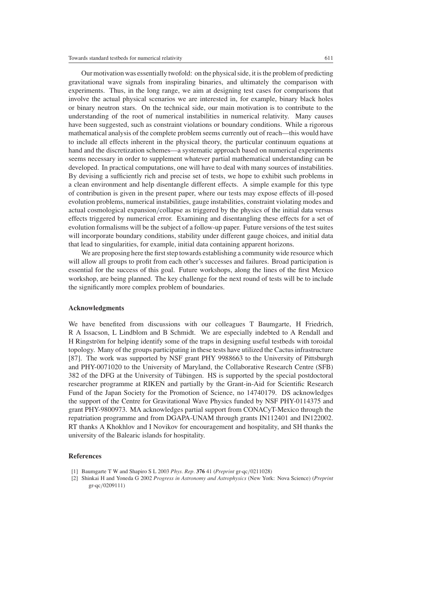Our motivation was essentially twofold: on the physical side, it is the problem of predicting gravitational wave signals from inspiraling binaries, and ultimately the comparison with experiments. Thus, in the long range, we aim at designing test cases for comparisons that involve the actual physical scenarios we are interested in, for example, binary black holes or binary neutron stars. On the technical side, our main motivation is to contribute to the understanding of the root of numerical instabilities in numerical relativity. Many causes have been suggested, such as constraint violations or boundary conditions. While a rigorous mathematical analysis of the complete problem seems currently out of reach—this would have to include all effects inherent in the physical theory, the particular continuum equations at hand and the discretization schemes—a systematic approach based on numerical experiments seems necessary in order to supplement whatever partial mathematical understanding can be developed. In practical computations, one will have to deal with many sources of instabilities. By devising a sufficiently rich and precise set of tests, we hope to exhibit such problems in a clean environment and help disentangle different effects. A simple example for this type of contribution is given in the present paper, where our tests may expose effects of ill-posed evolution problems, numerical instabilities, gauge instabilities, constraint violating modes and actual cosmological expansion*/*collapse as triggered by the physics of the initial data versus effects triggered by numerical error. Examining and disentangling these effects for a set of evolution formalisms will be the subject of a follow-up paper. Future versions of the test suites will incorporate boundary conditions, stability under different gauge choices, and initial data that lead to singularities, for example, initial data containing apparent horizons.

We are proposing here the first step towards establishing a community wide resource which will allow all groups to profit from each other's successes and failures. Broad participation is essential for the success of this goal. Future workshops, along the lines of the first Mexico workshop, are being planned. The key challenge for the next round of tests will be to include the significantly more complex problem of boundaries.

## **Acknowledgments**

We have benefited from discussions with our colleagues T Baumgarte, H Friedrich, R A Issacson, L Lindblom and B Schmidt. We are especially indebted to A Rendall and H Ringström for helping identify some of the traps in designing useful testbeds with toroidal topology. Many of the groups participating in these tests have utilized the Cactus infrastructure [87]. The work was supported by NSF grant PHY 9988663 to the University of Pittsburgh and PHY-0071020 to the University of Maryland, the Collaborative Research Centre (SFB) 382 of the DFG at the University of Tubingen. HS is supported by the special postdoctoral ¨ researcher programme at RIKEN and partially by the Grant-in-Aid for Scientific Research Fund of the Japan Society for the Promotion of Science, no 14740179. DS acknowledges the support of the Centre for Gravitational Wave Physics funded by NSF PHY-0114375 and grant PHY-9800973. MA acknowledges partial support from CONACyT-Mexico through the repatriation programme and from DGAPA-UNAM through grants IN112401 and IN122002. RT thanks A Khokhlov and I Novikov for encouragement and hospitality, and SH thanks the university of the Balearic islands for hospitality.

## **References**

- [1] Baumgarte T W and Shapiro S L 2003 *Phys. Rep.* **376** 41 (*Preprint* gr-qc*/*0211028)
- [2] Shinkai H and Yoneda G 2002 *Progress in Astronomy and Astrophysics* (New York: Nova Science) (*Preprint* gr-qc*/*0209111)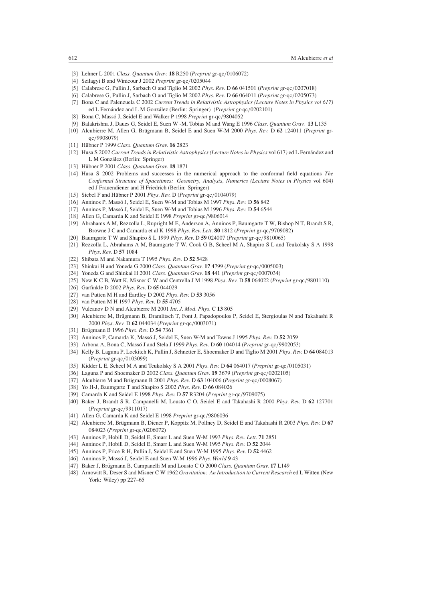- [3] Lehner L 2001 *Class. Quantum Grav.* **18** R250 (*Preprint* gr-qc*/*0106072)
- [4] Szilagyi B and Winicour J 2002 *Preprint* gr-qc*/*0205044
- [5] Calabrese G, Pullin J, Sarbach O and Tiglio M 2002 *Phys. Rev.* D **66** 041501 (*Preprint* gr-qc*/*0207018)
- [6] Calabrese G, Pullin J, Sarbach O and Tiglio M 2002 *Phys. Rev.* D **66** 064011 (*Preprint* gr-qc*/*0205073)
- [7] Bona C and Palenzuela C 2002 *Current Trends in Relativistic Astrophysics (Lecture Notes in Physics vol 617)* ed L Fernández and L M González (Berlin: Springer) (Preprint gr-qc/0202101)
- [8] Bona C, Massó J, Seidel E and Walker P 1998 *Preprint* gr-qc/9804052
- [9] Balakrishna J, Daues G, Seidel E, Suen W -M, Tobias M and Wang E 1996 *Class. Quantum Grav.* **13** L135
- [10] Alcubierre M, Allen G, Brügmann B, Seidel E and Suen W-M 2000 Phys. Rev. D 62 124011 (Preprint grqc*/*9908079)
- [11] Hübner P 1999 Class. Quantum Gray. **16** 2823
- [12] Husa S 2002 *Current Trends in Relativistic Astrophysics (Lecture Notes in Physics* vol 617*)* ed L Fernandez and ´ L M González (Berlin: Springer)
- [13] Hübner P 2001 Class. Quantum Grav. 18 1871
- [14] Husa S 2002 Problems and successes in the numerical approach to the conformal field equations *The Conformal Structure of Spacetimes: Geometry, Analysis, Numerics (Lecture Notes in Physics* vol 604*)* ed J Frauendiener and H Friedrich (Berlin: Springer)
- [15] Siebel F and Hübner P 2001 Phys. Rev. D (Preprint gr-qc/0104079)
- [16] Anninos P, Massó J, Seidel E, Suen W-M and Tobias M 1997 *Phys. Rev.* D 56 842
- [17] Anninos P, Massó J, Seidel E, Suen W-M and Tobias M 1996 *Phys. Rev.* D 54 6544
- [18] Allen G, Camarda K and Seidel E 1998 *Preprint* gr-qc*/*9806014
- [19] Abrahams A M, Rezzolla L, Rupright M E, Anderson A, Anninos P, Baumgarte T W, Bishop N T, Brandt S R, Browne J C and Camarda et al K 1998 *Phys. Rev. Lett.* **80** 1812 (*Preprint* gr-qc*/*9709082)
- [20] Baumgarte T W and Shapiro S L 1999 *Phys. Rev.* D **59** 024007 (*Preprint* gr-qc*/*9810065)
- [21] Rezzolla L, Abrahams A M, Baumgarte T W, Cook G B, Scheel M A, Shapiro S L and Teukolsky S A 1998 *Phys. Rev.* D **57** 1084
- [22] Shibata M and Nakamura T 1995 *Phys. Rev.* D **52** 5428
- [23] Shinkai H and Yoneda G 2000 *Class. Quantum Grav.* **17** 4799 (*Preprint* gr-qc*/*0005003)
- [24] Yoneda G and Shinkai H 2001 *Class. Quantum Grav.* **18** 441 (*Preprint* gr-qc*/*0007034)
- [25] New K C B, Watt K, Misner C W and Centrella J M 1998 *Phys. Rev.* D **58** 064022 (*Preprint* gr-qc*/*9801110)
- [26] Garfinkle D 2002 *Phys. Rev.* D **65** 044029
- [27] van Putten M H and Eardley D 2002 *Phys. Rev.* D **53** 3056
- [28] van Putten M H 1997 *Phys. Rev.* D **55** 4705
- [29] Vulcanov D N and Alcubierre M 2001 *Int. J. Mod. Phys.* C **13** 805
- [30] Alcubierre M, Brügmann B, Dramlitsch T, Font J, Papadopoulos P, Seidel E, Stergioulas N and Takahashi R 2000 *Phys. Rev.* D **62** 044034 (*Preprint* gr-qc*/*0003071)
- [31] Brügmann B 1996 Phys. Rev. D 54 7361
- [32] Anninos P, Camarda K, Massó J, Seidel E, Suen W-M and Towns J 1995 *Phys. Rev.* D 52 2059
- [33] Arbona A, Bona C, Massó J and Stela J 1999 *Phys. Rev.* D 60 104014 (*Preprint* gr-qc/9902053)
- [34] Kelly B, Laguna P, Lockitch K, Pullin J, Schnetter E, Shoemaker D and Tiglio M 2001 *Phys. Rev.* D **64** 084013 (*Preprint* gr-qc*/*0103099)
- [35] Kidder L E, Scheel M A and Teukolsky S A 2001 *Phys. Rev.* D **64** 064017 (*Preprint* gr-qc*/*0105031)
- [36] Laguna P and Shoemaker D 2002 *Class. Quantum Grav.* **19** 3679 (*Preprint* gr-qc*/*0202105)
- [37] Alcubierre M and Brügmann B 2001 Phys. Rev. D 63 104006 (Preprint gr-qc/0008067)
- [38] Yo H-J, Baumgarte T and Shapiro S 2002 *Phys. Rev.* D **66** 084026
- [39] Camarda K and Seidel E 1998 *Phys. Rev.* D **57** R3204 (*Preprint* gr-qc*/*9709075)
- [40] Baker J, Brandt S R, Campanelli M, Lousto C O, Seidel E and Takahashi R 2000 *Phys. Rev.* D **62** 127701 (*Preprint* gr-qc*/*9911017)
- [41] Allen G, Camarda K and Seidel E 1998 *Preprint* gr-qc*/*9806036
- [42] Alcubierre M, Brügmann B, Diener P, Koppitz M, Pollney D, Seidel E and Takahashi R 2003 Phys. Rev. D 67 084023 (*Preprint* gr-qc*/*0206072)
- [43] Anninos P, Hobill D, Seidel E, Smarr L and Suen W-M 1993 *Phys. Rev. Lett.* **71** 2851
- [44] Anninos P, Hobill D, Seidel E, Smarr L and Suen W-M 1995 *Phys. Rev.* D **52** 2044
- [45] Anninos P, Price R H, Pullin J, Seidel E and Suen W-M 1995 *Phys. Rev.* D **52** 4462
- [46] Anninos P, Massó J, Seidel E and Suen W-M 1996 *Phys. World* 9 43
- [47] Baker J, Brügmann B, Campanelli M and Lousto C O 2000 Class. Quantum Grav. 17 L149
- [48] Arnowitt R, Deser S and Misner C W 1962 *Gravitation: An Introduction to Current Research* ed L Witten (New York: Wiley) pp 227–65